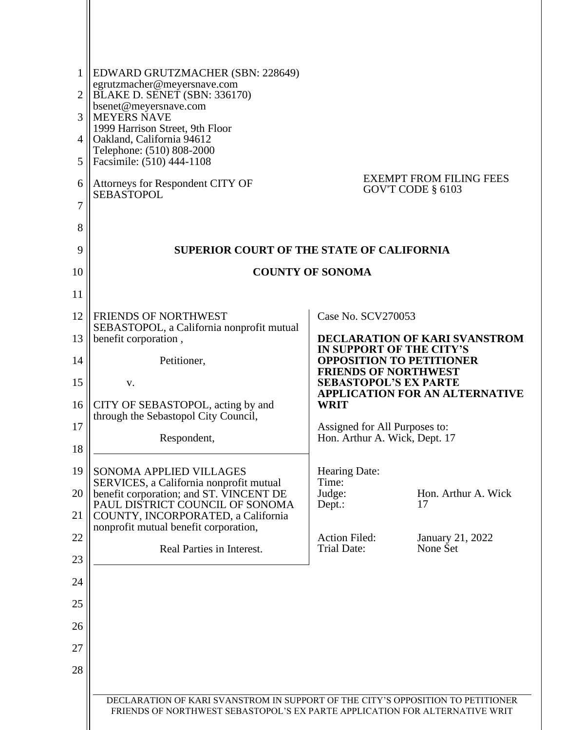| 1<br>$\overline{2}$<br>3<br>4<br>5 | EDWARD GRUTZMACHER (SBN: 228649)<br>egrutzmacher@meyersnave.com<br>BLAKE D. SENET (SBN: 336170)<br>bsenet@meyersnave.com<br><b>MEYERS NAVE</b><br>1999 Harrison Street, 9th Floor<br>Oakland, California 94612<br>Telephone: (510) 808-2000<br>Facsimile: (510) 444-1108 |                                                                                            |                                |  |  |
|------------------------------------|--------------------------------------------------------------------------------------------------------------------------------------------------------------------------------------------------------------------------------------------------------------------------|--------------------------------------------------------------------------------------------|--------------------------------|--|--|
| 6<br>7                             | Attorneys for Respondent CITY OF<br><b>SEBASTOPOL</b>                                                                                                                                                                                                                    | GOV'T CODE § 6103                                                                          | <b>EXEMPT FROM FILING FEES</b> |  |  |
| 8                                  |                                                                                                                                                                                                                                                                          |                                                                                            |                                |  |  |
| 9<br>10                            | <b>SUPERIOR COURT OF THE STATE OF CALIFORNIA</b><br><b>COUNTY OF SONOMA</b>                                                                                                                                                                                              |                                                                                            |                                |  |  |
| 11                                 |                                                                                                                                                                                                                                                                          |                                                                                            |                                |  |  |
| 12                                 | <b>FRIENDS OF NORTHWEST</b>                                                                                                                                                                                                                                              | Case No. SCV270053                                                                         |                                |  |  |
| 13                                 | SEBASTOPOL, a California nonprofit mutual<br>benefit corporation,                                                                                                                                                                                                        |                                                                                            | DECLARATION OF KARI SVANSTROM  |  |  |
| 14                                 | Petitioner,                                                                                                                                                                                                                                                              | IN SUPPORT OF THE CITY'S<br><b>OPPOSITION TO PETITIONER</b><br><b>FRIENDS OF NORTHWEST</b> |                                |  |  |
| 15                                 | v.                                                                                                                                                                                                                                                                       | <b>SEBASTOPOL'S EX PARTE</b><br><b>APPLICATION FOR AN ALTERNATIVE</b>                      |                                |  |  |
| 16                                 | CITY OF SEBASTOPOL, acting by and<br>through the Sebastopol City Council,                                                                                                                                                                                                | <b>WRIT</b>                                                                                |                                |  |  |
| 17                                 | Respondent,                                                                                                                                                                                                                                                              | Assigned for All Purposes to:<br>Hon. Arthur A. Wick, Dept. 17                             |                                |  |  |
| 18                                 |                                                                                                                                                                                                                                                                          |                                                                                            |                                |  |  |
| 19                                 | SONOMA APPLIED VILLAGES<br>SERVICES, a California nonprofit mutual                                                                                                                                                                                                       | Hearing Date:<br>Time:                                                                     |                                |  |  |
| 20<br>21                           | benefit corporation; and ST. VINCENT DE<br>PAUL DISTRICT COUNCIL OF SONOMA<br>COUNTY, INCORPORATED, a California                                                                                                                                                         | Judge:<br>17<br>Dept.:                                                                     | Hon. Arthur A. Wick            |  |  |
| 22                                 | nonprofit mutual benefit corporation,                                                                                                                                                                                                                                    | <b>Action Filed:</b>                                                                       | January 21, 2022               |  |  |
| 23                                 | Real Parties in Interest.                                                                                                                                                                                                                                                | <b>Trial Date:</b>                                                                         | None Set                       |  |  |
| 24                                 |                                                                                                                                                                                                                                                                          |                                                                                            |                                |  |  |
| 25                                 |                                                                                                                                                                                                                                                                          |                                                                                            |                                |  |  |
| 26                                 |                                                                                                                                                                                                                                                                          |                                                                                            |                                |  |  |
| 27                                 |                                                                                                                                                                                                                                                                          |                                                                                            |                                |  |  |
| 28                                 |                                                                                                                                                                                                                                                                          |                                                                                            |                                |  |  |
|                                    | DECLARATION OF KARI SVANSTROM IN SUPPORT OF THE CITY'S OPPOSITION TO PETITIONER<br>FRIENDS OF NORTHWEST SEBASTOPOL'S EX PARTE APPLICATION FOR ALTERNATIVE WRIT                                                                                                           |                                                                                            |                                |  |  |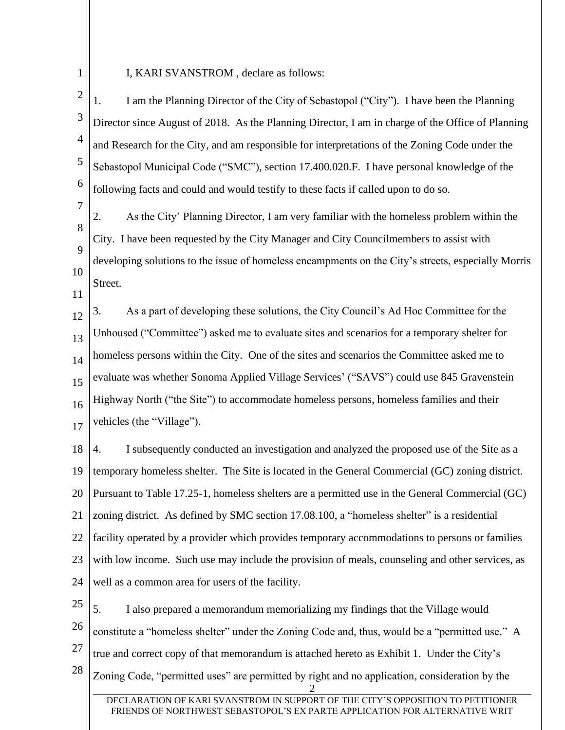1

11

### I, KARI SVANSTROM , declare as follows:

2 3 4 5 6 1. I am the Planning Director of the City of Sebastopol ("City"). I have been the Planning Director since August of 2018. As the Planning Director, I am in charge of the Office of Planning and Research for the City, and am responsible for interpretations of the Zoning Code under the Sebastopol Municipal Code ("SMC"), section 17.400.020.F. I have personal knowledge of the following facts and could and would testify to these facts if called upon to do so.

7 8 9 10 2. As the City' Planning Director, I am very familiar with the homeless problem within the City. I have been requested by the City Manager and City Councilmembers to assist with developing solutions to the issue of homeless encampments on the City's streets, especially Morris Street.

12 13 14 15 16 17 3. As a part of developing these solutions, the City Council's Ad Hoc Committee for the Unhoused ("Committee") asked me to evaluate sites and scenarios for a temporary shelter for homeless persons within the City. One of the sites and scenarios the Committee asked me to evaluate was whether Sonoma Applied Village Services' ("SAVS") could use 845 Gravenstein Highway North ("the Site") to accommodate homeless persons, homeless families and their vehicles (the "Village").

18 19 20 21 22 23 24 4. I subsequently conducted an investigation and analyzed the proposed use of the Site as a temporary homeless shelter. The Site is located in the General Commercial (GC) zoning district. Pursuant to Table 17.25-1, homeless shelters are a permitted use in the General Commercial (GC) zoning district. As defined by SMC section 17.08.100, a "homeless shelter" is a residential facility operated by a provider which provides temporary accommodations to persons or families with low income. Such use may include the provision of meals, counseling and other services, as well as a common area for users of the facility.

25 26 27 28 2 5. I also prepared a memorandum memorializing my findings that the Village would constitute a "homeless shelter" under the Zoning Code and, thus, would be a "permitted use." A true and correct copy of that memorandum is attached hereto as Exhibit 1. Under the City's Zoning Code, "permitted uses" are permitted by right and no application, consideration by the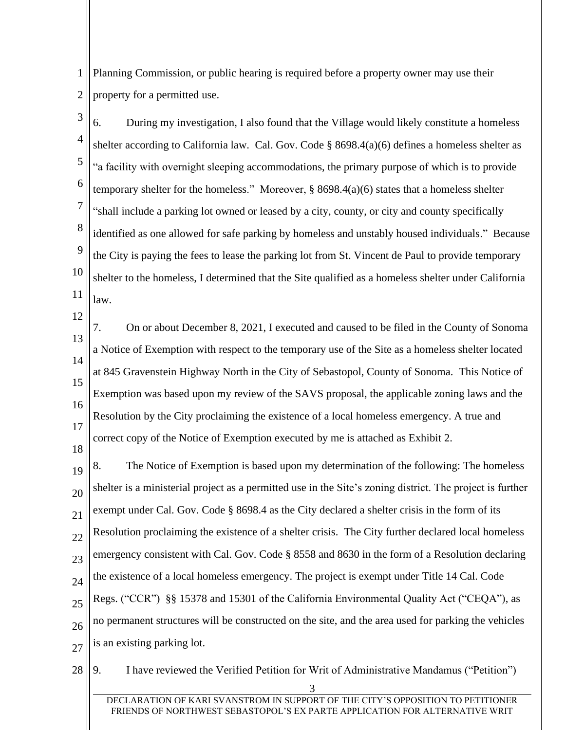1 2 Planning Commission, or public hearing is required before a property owner may use their property for a permitted use.

3 4 5 6 7 8 9 10 11 6. During my investigation, I also found that the Village would likely constitute a homeless shelter according to California law. Cal. Gov. Code § 8698.4(a)(6) defines a homeless shelter as "a facility with overnight sleeping accommodations, the primary purpose of which is to provide temporary shelter for the homeless." Moreover, § 8698.4(a)(6) states that a homeless shelter "shall include a parking lot owned or leased by a city, county, or city and county specifically identified as one allowed for safe parking by homeless and unstably housed individuals." Because the City is paying the fees to lease the parking lot from St. Vincent de Paul to provide temporary shelter to the homeless, I determined that the Site qualified as a homeless shelter under California law.

13 14 15 16 17 18 7. On or about December 8, 2021, I executed and caused to be filed in the County of Sonoma a Notice of Exemption with respect to the temporary use of the Site as a homeless shelter located at 845 Gravenstein Highway North in the City of Sebastopol, County of Sonoma. This Notice of Exemption was based upon my review of the SAVS proposal, the applicable zoning laws and the Resolution by the City proclaiming the existence of a local homeless emergency. A true and correct copy of the Notice of Exemption executed by me is attached as Exhibit 2.

12

19 20 21 22 23 24 25 26 27 8. The Notice of Exemption is based upon my determination of the following: The homeless shelter is a ministerial project as a permitted use in the Site's zoning district. The project is further exempt under Cal. Gov. Code § 8698.4 as the City declared a shelter crisis in the form of its Resolution proclaiming the existence of a shelter crisis. The City further declared local homeless emergency consistent with Cal. Gov. Code § 8558 and 8630 in the form of a Resolution declaring the existence of a local homeless emergency. The project is exempt under Title 14 Cal. Code Regs. ("CCR") §§ 15378 and 15301 of the California Environmental Quality Act ("CEQA"), as no permanent structures will be constructed on the site, and the area used for parking the vehicles is an existing parking lot.

28 3 9. I have reviewed the Verified Petition for Writ of Administrative Mandamus ("Petition")

**DECLARATION** FRIENDS OF NORTHWEST SEBASTOPOL'S EX PARTE APPLICATION FOR ALTERNATIVE WRIT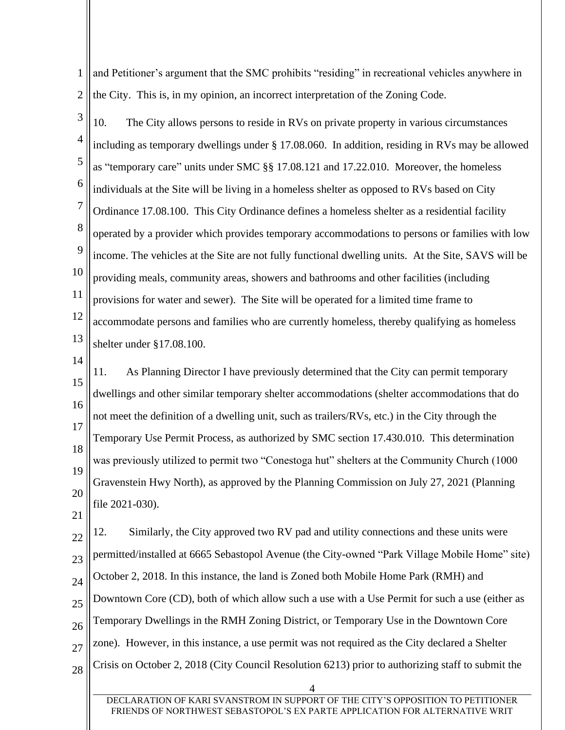1 2 and Petitioner's argument that the SMC prohibits "residing" in recreational vehicles anywhere in the City. This is, in my opinion, an incorrect interpretation of the Zoning Code.

3 4 5 6 7 8 9 10 11 12 13 10. The City allows persons to reside in RVs on private property in various circumstances including as temporary dwellings under § 17.08.060. In addition, residing in RVs may be allowed as "temporary care" units under SMC §§ 17.08.121 and 17.22.010. Moreover, the homeless individuals at the Site will be living in a homeless shelter as opposed to RVs based on City Ordinance 17.08.100. This City Ordinance defines a homeless shelter as a residential facility operated by a provider which provides temporary accommodations to persons or families with low income. The vehicles at the Site are not fully functional dwelling units. At the Site, SAVS will be providing meals, community areas, showers and bathrooms and other facilities (including provisions for water and sewer). The Site will be operated for a limited time frame to accommodate persons and families who are currently homeless, thereby qualifying as homeless shelter under §17.08.100.

14

15 16 17 18 19 20 11. As Planning Director I have previously determined that the City can permit temporary dwellings and other similar temporary shelter accommodations (shelter accommodations that do not meet the definition of a dwelling unit, such as trailers/RVs, etc.) in the City through the Temporary Use Permit Process, as authorized by SMC section 17.430.010. This determination was previously utilized to permit two "Conestoga hut" shelters at the Community Church (1000 Gravenstein Hwy North), as approved by the Planning Commission on July 27, 2021 (Planning file 2021-030).

21

22 23 24 25 26 27 28 12. Similarly, the City approved two RV pad and utility connections and these units were permitted/installed at 6665 Sebastopol Avenue (the City-owned "Park Village Mobile Home" site) October 2, 2018. In this instance, the land is Zoned both Mobile Home Park (RMH) and Downtown Core (CD), both of which allow such a use with a Use Permit for such a use (either as Temporary Dwellings in the RMH Zoning District, or Temporary Use in the Downtown Core zone). However, in this instance, a use permit was not required as the City declared a Shelter Crisis on October 2, 2018 (City Council Resolution 6213) prior to authorizing staff to submit the

4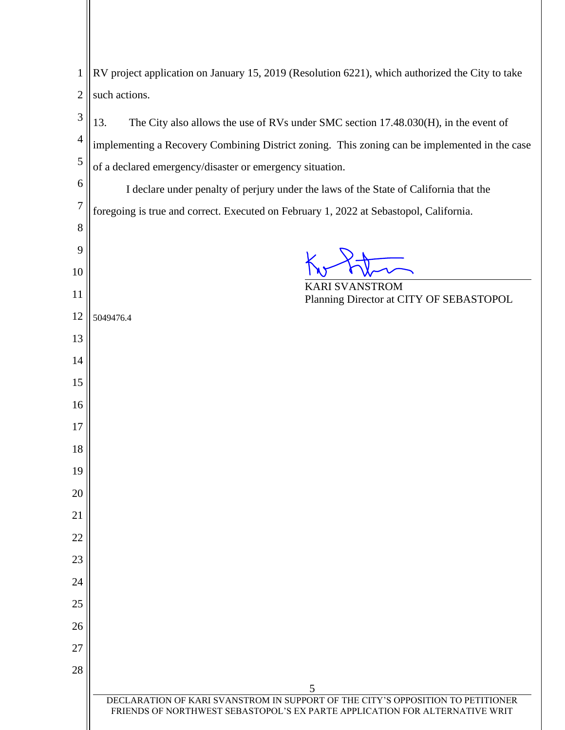| 1    RV project application on January 15, 2019 (Resolution 6221), which authorized the City to take |
|------------------------------------------------------------------------------------------------------|
| $2$ such actions.                                                                                    |

| $\mathfrak{Z}$  | 13.<br>The City also allows the use of RVs under SMC section 17.48.030(H), in the event of    |  |  |  |
|-----------------|-----------------------------------------------------------------------------------------------|--|--|--|
| 4               | implementing a Recovery Combining District zoning. This zoning can be implemented in the case |  |  |  |
| 5               | of a declared emergency/disaster or emergency situation.                                      |  |  |  |
| 6               | I declare under penalty of perjury under the laws of the State of California that the         |  |  |  |
| 7               | foregoing is true and correct. Executed on February 1, 2022 at Sebastopol, California.        |  |  |  |
| 8               |                                                                                               |  |  |  |
| 9               |                                                                                               |  |  |  |
| 10              |                                                                                               |  |  |  |
| 11              | <b>KARI SVANSTROM</b><br>Planning Director at CITY OF SEBASTOPOL                              |  |  |  |
| 12              | 5049476.4                                                                                     |  |  |  |
| 13              |                                                                                               |  |  |  |
| 14              |                                                                                               |  |  |  |
| 15              |                                                                                               |  |  |  |
| 16              |                                                                                               |  |  |  |
| 17              |                                                                                               |  |  |  |
| 18              |                                                                                               |  |  |  |
| 19              |                                                                                               |  |  |  |
| 20              |                                                                                               |  |  |  |
| 21              |                                                                                               |  |  |  |
| 22              |                                                                                               |  |  |  |
| 23              |                                                                                               |  |  |  |
| 24              |                                                                                               |  |  |  |
| 25              |                                                                                               |  |  |  |
| 26              |                                                                                               |  |  |  |
| $\overline{27}$ |                                                                                               |  |  |  |
| 28              |                                                                                               |  |  |  |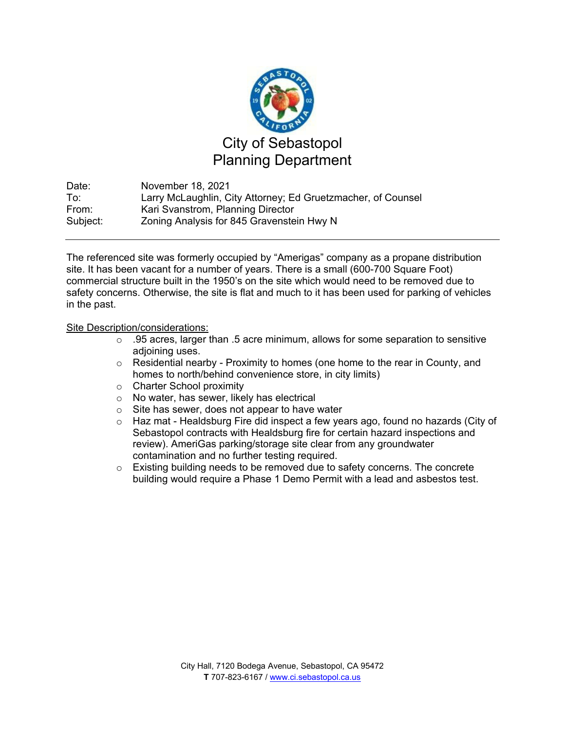

Date: November 18, 2021 To: Larry McLaughlin, City Attorney; Ed Gruetzmacher, of Counsel From: Kari Svanstrom, Planning Director Subject: Zoning Analysis for 845 Gravenstein Hwy N

The referenced site was formerly occupied by "Amerigas" company as a propane distribution site. It has been vacant for a number of years. There is a small (600-700 Square Foot) commercial structure built in the 1950's on the site which would need to be removed due to safety concerns. Otherwise, the site is flat and much to it has been used for parking of vehicles in the past.

### Site Description/considerations:

- o .95 acres, larger than .5 acre minimum, allows for some separation to sensitive adjoining uses.
- $\circ$  Residential nearby Proximity to homes (one home to the rear in County, and homes to north/behind convenience store, in city limits)
- o Charter School proximity
- o No water, has sewer, likely has electrical
- o Site has sewer, does not appear to have water
- $\circ$  Haz mat Healdsburg Fire did inspect a few years ago, found no hazards (City of Sebastopol contracts with Healdsburg fire for certain hazard inspections and review). AmeriGas parking/storage site clear from any groundwater contamination and no further testing required.
- $\circ$  Existing building needs to be removed due to safety concerns. The concrete building would require a Phase 1 Demo Permit with a lead and asbestos test.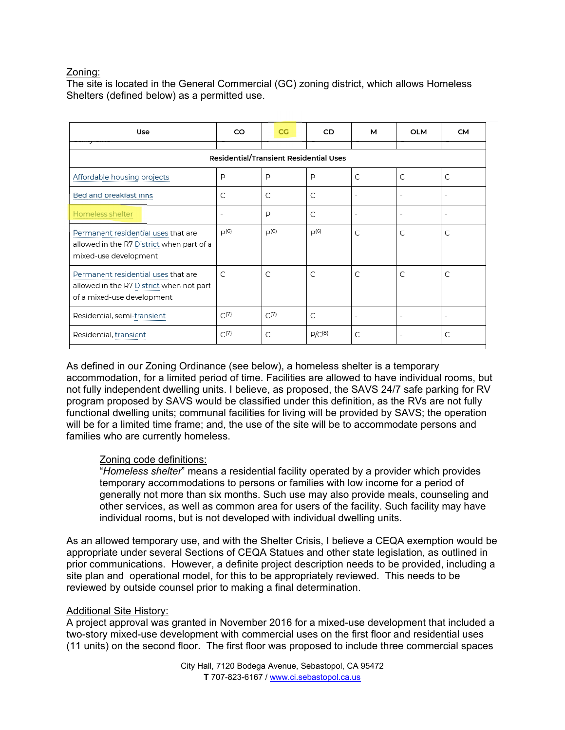# Zoning:

The site is located in the General Commercial (GC) zoning district, which allows Homeless Shelters (defined below) as a permitted use.

| Use                                                                                                           | CO                       | CG        | CD          | м | <b>OLM</b>               | <b>CM</b>                |
|---------------------------------------------------------------------------------------------------------------|--------------------------|-----------|-------------|---|--------------------------|--------------------------|
| Residential/Transient Residential Uses                                                                        |                          |           |             |   |                          |                          |
| Affordable housing projects                                                                                   | P                        | P         | P           | C | C                        | C                        |
| Bed and breakfast inns                                                                                        | C                        | C         | C           |   | ٠                        | -                        |
| Homeless shelter                                                                                              | $\overline{\phantom{a}}$ | P         | C           |   | $\overline{\phantom{a}}$ | -                        |
| Permanent residential uses that are<br>allowed in the R7 District when part of a<br>mixed-use development     | $D^{(6)}$                | $D^{(6)}$ | $D^{(6)}$   | C | C.                       | C                        |
| Permanent residential uses that are<br>allowed in the R7 District when not part<br>of a mixed-use development | C                        | C         | C           | C | C                        | $\mathcal{C}$            |
| Residential, semi-transient                                                                                   | $C^{(7)}$                | C(7)      | C           |   | $\overline{\phantom{a}}$ | $\overline{\phantom{a}}$ |
| Residential, transient                                                                                        | $C^{(7)}$                | C         | $P/C^{(8)}$ | C |                          | C                        |

As defined in our Zoning Ordinance (see below), a homeless shelter is a temporary accommodation, for a limited period of time. Facilities are allowed to have individual rooms, but not fully independent dwelling units. I believe, as proposed, the SAVS 24/7 safe parking for RV program proposed by SAVS would be classified under this definition, as the RVs are not fully functional dwelling units; communal facilities for living will be provided by SAVS; the operation will be for a limited time frame; and, the use of the site will be to accommodate persons and families who are currently homeless.

## Zoning code definitions:

"*Homeless shelter*" means a residential facility operated by a provider which provides temporary accommodations to persons or families with low income for a period of generally not more than six months. Such use may also provide meals, counseling and other services, as well as common area for users of the facility. Such facility may have individual rooms, but is not developed with individual dwelling units.

As an allowed temporary use, and with the Shelter Crisis, I believe a CEQA exemption would be appropriate under several Sections of CEQA Statues and other state legislation, as outlined in prior communications. However, a definite project description needs to be provided, including a site plan and operational model, for this to be appropriately reviewed. This needs to be reviewed by outside counsel prior to making a final determination.

#### Additional Site History:

A project approval was granted in November 2016 for a mixed-use development that included a two-story mixed-use development with commercial uses on the first floor and residential uses (11 units) on the second floor. The first floor was proposed to include three commercial spaces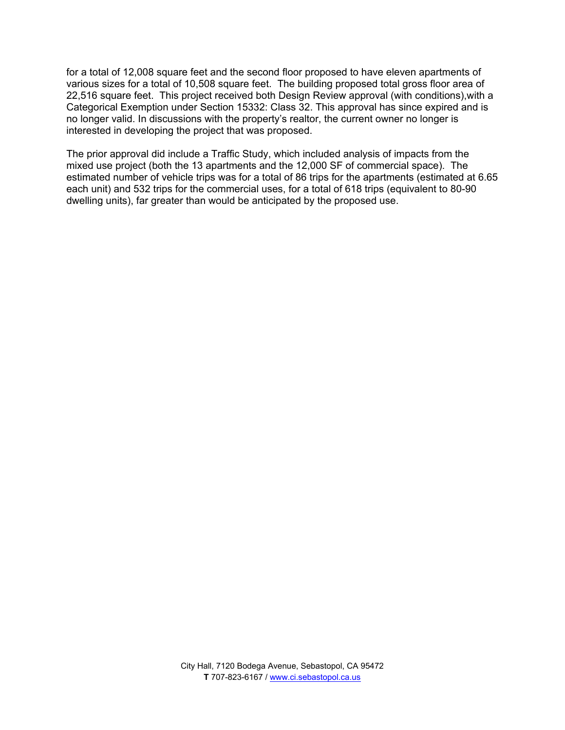for a total of 12,008 square feet and the second floor proposed to have eleven apartments of various sizes for a total of 10,508 square feet. The building proposed total gross floor area of 22,516 square feet. This project received both Design Review approval (with conditions),with a Categorical Exemption under Section 15332: Class 32. This approval has since expired and is no longer valid. In discussions with the property's realtor, the current owner no longer is interested in developing the project that was proposed.

The prior approval did include a Traffic Study, which included analysis of impacts from the mixed use project (both the 13 apartments and the 12,000 SF of commercial space). The estimated number of vehicle trips was for a total of 86 trips for the apartments (estimated at 6.65 each unit) and 532 trips for the commercial uses, for a total of 618 trips (equivalent to 80-90 dwelling units), far greater than would be anticipated by the proposed use.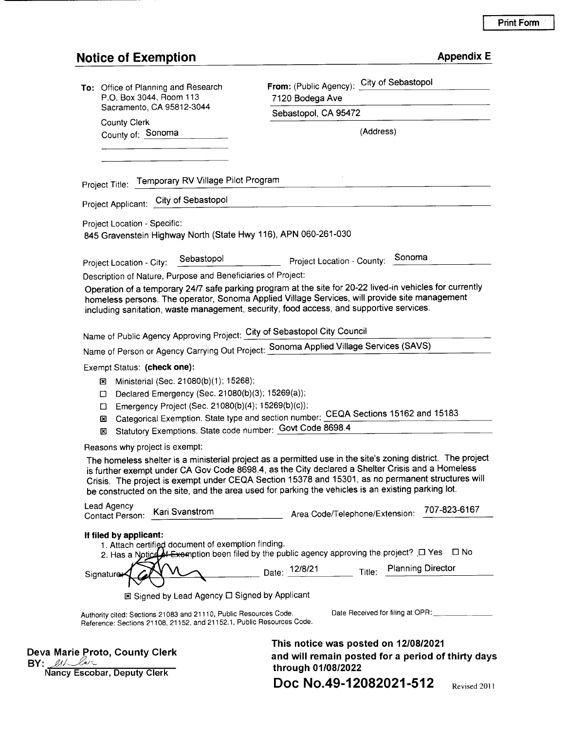# **Print Form**

# **Notice of Exemption**

| <b>Appendix E</b> |  |
|-------------------|--|
|                   |  |

| To: Office of Planning and Research<br>P.O. Box 3044, Room 113                                                                                                       | From: (Public Agency): City of Sebastopol<br>7120 Bodega Ave<br>Sebastopol, CA 95472                                                                                                                                                                                                                                                                                                                                       |  |  |
|----------------------------------------------------------------------------------------------------------------------------------------------------------------------|----------------------------------------------------------------------------------------------------------------------------------------------------------------------------------------------------------------------------------------------------------------------------------------------------------------------------------------------------------------------------------------------------------------------------|--|--|
| Sacramento, CA 95812-3044                                                                                                                                            |                                                                                                                                                                                                                                                                                                                                                                                                                            |  |  |
| <b>County Clerk</b><br>County of: Sonoma                                                                                                                             | (Address)                                                                                                                                                                                                                                                                                                                                                                                                                  |  |  |
| Project Title: Temporary RV Village Pilot Program<br>Project Applicant: City of Sebastopol                                                                           |                                                                                                                                                                                                                                                                                                                                                                                                                            |  |  |
| Project Location - Specific:<br>845 Gravenstein Highway North (State Hwy 116), APN 060-261-030                                                                       |                                                                                                                                                                                                                                                                                                                                                                                                                            |  |  |
| Sebastopol<br>Project Location - City:                                                                                                                               | Project Location - County: Sonoma                                                                                                                                                                                                                                                                                                                                                                                          |  |  |
| Description of Nature, Purpose and Beneficiaries of Project:                                                                                                         |                                                                                                                                                                                                                                                                                                                                                                                                                            |  |  |
|                                                                                                                                                                      | Operation of a temporary 24/7 safe parking program at the site for 20-22 lived-in vehicles for currently<br>homeless persons. The operator, Sonoma Applied Village Services, will provide site management<br>including sanitation, waste management, security, food access, and supportive services.                                                                                                                       |  |  |
| Name of Public Agency Approving Project: City of Sebastopol City Council                                                                                             |                                                                                                                                                                                                                                                                                                                                                                                                                            |  |  |
|                                                                                                                                                                      | Name of Person or Agency Carrying Out Project: Sonoma Applied Village Services (SAVS)                                                                                                                                                                                                                                                                                                                                      |  |  |
| Exempt Status: (check one):                                                                                                                                          |                                                                                                                                                                                                                                                                                                                                                                                                                            |  |  |
| Ministerial (Sec. 21080(b)(1); 15268);<br>⊠<br>Declared Emergency (Sec. 21080(b)(3); 15269(a));<br>□<br>Emergency Project (Sec. 21080(b)(4); 15269(b)(c));<br>◻<br>⊠ | Categorical Exemption. State type and section number: CEQA Sections 15162 and 15183                                                                                                                                                                                                                                                                                                                                        |  |  |
| Statutory Exemptions. State code number: Govt Code 8698.4<br>⊠                                                                                                       |                                                                                                                                                                                                                                                                                                                                                                                                                            |  |  |
| Reasons why project is exempt:                                                                                                                                       |                                                                                                                                                                                                                                                                                                                                                                                                                            |  |  |
|                                                                                                                                                                      | The homeless shelter is a ministerial project as a permitted use in the site's zoning district. The project<br>is further exempt under CA Gov Code 8698.4, as the City declared a Shelter Crisis and a Homeless<br>Crisis. The project is exempt under CEQA Section 15378 and 15301, as no permanent structures will<br>be constructed on the site, and the area used for parking the vehicles is an existing parking lot. |  |  |
| Lead Agency<br>Kari Svanstrom<br>Contact Person:                                                                                                                     | 707-823-6167<br>Area Code/Telephone/Extension:                                                                                                                                                                                                                                                                                                                                                                             |  |  |
| If filed by applicant:<br>1. Attach certified document of exemption finding.<br>Signature                                                                            | 2. Has a Notice of Exemption been filed by the public agency approving the project? $\Box$ Yes $\Box$ No<br>Date: 12/8/21 Title: Planning Director                                                                                                                                                                                                                                                                         |  |  |
| ⊠ Signed by Lead Agency □ Signed by Applicant                                                                                                                        |                                                                                                                                                                                                                                                                                                                                                                                                                            |  |  |
|                                                                                                                                                                      |                                                                                                                                                                                                                                                                                                                                                                                                                            |  |  |
| Authority cited: Sections 21083 and 21110, Public Resources Code.<br>Reference: Sections 21108, 21152, and 21152.1, Public Resources Code.                           | Date Received for filing at OPR: ___________                                                                                                                                                                                                                                                                                                                                                                               |  |  |
| Deva Marie Proto, County Clerk<br>BY: 21<br>Nancy Escobar, Deputy Clerk                                                                                              | This notice was posted on 12/08/2021<br>and will remain posted for a period of thirty days<br>through 01/08/2022                                                                                                                                                                                                                                                                                                           |  |  |

Doc No.49-12082021-512